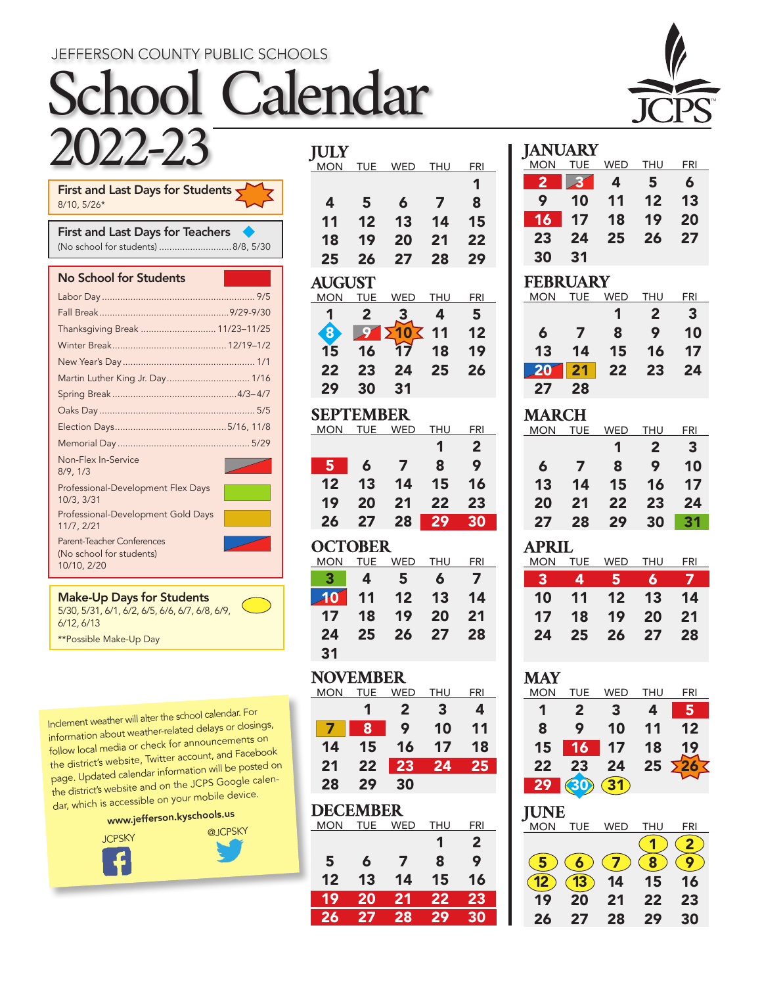### JEFFERSON COUNTY PUBLIC SCHOOLS

# School Calendar 2022-23



|              | First and Last Days for Students $\blacktriangledown$ |  |  |  |
|--------------|-------------------------------------------------------|--|--|--|
| $8/10.5/26*$ |                                                       |  |  |  |
|              |                                                       |  |  |  |

| <b>First and Last Days for Teachers</b> |  |
|-----------------------------------------|--|
| (No school for students) 8/8, 5/30      |  |

No School for Students

| Thanksgiving Break  11/23-11/25                                       |  |
|-----------------------------------------------------------------------|--|
|                                                                       |  |
|                                                                       |  |
| Martin Luther King Jr. Day 1/16                                       |  |
|                                                                       |  |
|                                                                       |  |
|                                                                       |  |
|                                                                       |  |
| Non-Flex In-Service<br>8/9.1/3                                        |  |
| Professional-Development Flex Days<br>10/3.3/31                       |  |
| Professional-Development Gold Days<br>11/7, 2/21                      |  |
| Parent-Teacher Conferences<br>(No school for students)<br>10/10, 2/20 |  |

| <b>Make-Up Days for Students</b>               |  |
|------------------------------------------------|--|
| 5/30, 5/31, 6/1, 6/2, 6/5, 6/6, 6/7, 6/8, 6/9, |  |
| 6/12, 6/13                                     |  |
| **Possible Make-Up Day                         |  |

Inclement weather will alter the school calendar. For information about weather-related delays or closings, follow local media or check for announcements on the district's website, Twitter account, and Facebook page. Updated calendar information will be posted on the district's website and on the JCPS Google calendar, which is accessible on your mobile device.



| <b>IULY</b>                   |                 |                                    |                |                |
|-------------------------------|-----------------|------------------------------------|----------------|----------------|
| MON                           |                 | TUE WED                            | THU            | FRI            |
|                               |                 |                                    |                | 1              |
| $\boldsymbol{4}$              | 5               | 6                                  | $\overline{ }$ | 8              |
| 11                            | 12              | 13                                 | 14             | 15             |
| 18                            | 19              | 20                                 | 21             | 22             |
| 25                            | 26              | 27                                 | 28             | 29             |
| <b>AUGUST</b>                 |                 |                                    |                |                |
| <b>MON</b>                    | <b>TUE</b>      | <b>WED</b>                         | THU            | FRI            |
| 1                             | 2               | 3                                  | 4              | 5              |
| 8                             | $\mathcal{S}$   | <b>2103</b>                        | 11             | 12             |
| 1 <sub>5</sub>                | 16              | $\overline{17}$                    | 18             | 19             |
| 22                            | 23              | 24                                 | 25             | 26             |
| 29                            | 30              | 31                                 |                |                |
| SEPTEMBER                     |                 |                                    |                |                |
| MON                           | <b>TUE</b>      | <b>WED</b>                         | <b>THU</b>     | FRI            |
|                               |                 |                                    | 1              | $\overline{2}$ |
| 5                             | 6               | 7                                  | 8              | 9              |
| 12                            | 13              | 14                                 | 15             | 16             |
| 19                            | 20              | 21                                 | 22             | 23             |
| 26                            | 27              | 28                                 | 29             | 30             |
| <b>OCTOBER</b>                |                 |                                    |                |                |
|                               |                 |                                    |                |                |
| <b>MON</b>                    | <b>TUE</b>      | WED                                | <b>THU</b>     | <b>FRI</b>     |
| 3                             | 4               | 5                                  | 6              | $\overline{7}$ |
| 10                            | 11              | 12                                 | 13             | 14             |
| 17                            | 18              | 19                                 | 20             | 21             |
| 24                            | 25              | 26                                 | 27             | 28             |
| 31                            |                 |                                    |                |                |
|                               |                 |                                    |                |                |
| <b>NOVEMBER</b><br>MON        |                 |                                    | <u>THU</u>     | <u>FRI</u>     |
|                               | 1               | TUE WED<br>$\overline{\mathbf{2}}$ | 3              | 4              |
| $\overline{\mathbf{z}}$       | 8               | 9                                  | 10             | 11             |
| 14                            | 15              | 16                                 | 17             | 18             |
| 21                            | 22              | 23                                 | 24             | 25             |
| 28                            | 29              | 30                                 |                |                |
|                               |                 |                                    |                |                |
| <b>DECEMBER</b><br><u>MON</u> | <b>TUE</b>      | <b>WED</b>                         | <b>THU</b>     | <u>FRI</u>     |
|                               |                 |                                    | 1              | $\overline{2}$ |
| 5                             | 6               | 7                                  | 8              | 9              |
| 12                            | 13              | 14                                 | 15             | 16             |
| 19                            | $\overline{20}$ | $\overline{21}$                    | 22             | 23             |
| 26                            | 27              | 28                                 | 29             | 30             |

| IA N                | UARY            |            |                |            |
|---------------------|-----------------|------------|----------------|------------|
| MON                 | TUE             | WED        | <b>THU</b>     | <b>FRI</b> |
| 2                   | 3               | 4          | 5              | 6          |
| 9                   | 10              | 11         | 12             | 13         |
| 16                  | 17              | 18         | 19             | 20         |
| 23                  | 24              | 25         | 26             | 27         |
| 30                  | 31              |            |                |            |
| <b>FEBRUARY</b>     |                 |            |                |            |
| <b>MON</b>          | <b>TUE</b>      | <b>WED</b> | <b>THU</b>     | FRI        |
|                     |                 | 1          | $\overline{2}$ | 3          |
| 6                   | $\overline{z}$  | 8          | 9              | 10         |
| 13                  | 14              | 15         | 16             | 17         |
| 20                  | $\overline{21}$ | 22         | 23             | 24         |
|                     |                 |            |                |            |
| 27                  | 28              |            |                |            |
|                     |                 |            |                |            |
| <b>MARCH</b><br>MON | TUE             | WED        | THU            | FRI        |
|                     |                 | 1          | $\overline{2}$ | 3          |
| 6                   | $\overline{7}$  | 8          | 9              | 10         |
| 13                  | 14              | 15         | 16             | 17         |
| 20                  | 21              | 22         |                | 24         |
| 27                  | 28              | 29         | 23<br>30       | 31         |

### **APRIL**

| MON | TUE | WED | THU | FRI |
|-----|-----|-----|-----|-----|
| 3   | 4   | 5.  | 6   | 7   |
| 10  | 11  | 12  | 13  | 14  |
| 17  | 18  | 19  | 20  | 21  |
| 24  | 25  | 26  | 27  | 28  |
|     |     |     |     |     |

### **MAY**

| MON | TUE | WED | THU | FRI |
|-----|-----|-----|-----|-----|
|     | 2   | 3   | 4   | 5   |
| 8   | 9   | 10  | 11  | 12  |
| 15  | 16  | 17  | 18  | 19  |
| 22  | 23  | 24  | 25  |     |
| 29  |     |     |     |     |

### **JUNE**

| <b>MON</b>       | TUE | WED | <b>THU</b> | FRI |
|------------------|-----|-----|------------|-----|
|                  |     |     |            |     |
| $\blacksquare$ 5 | 6   |     | ះ          |     |
|                  |     |     |            |     |
|                  |     | 14  | 15         | 16  |
| 19               | 20  | 21  | 22         | 23  |
|                  |     |     | 29         | 30  |
| 26               | 27  | 28  |            |     |